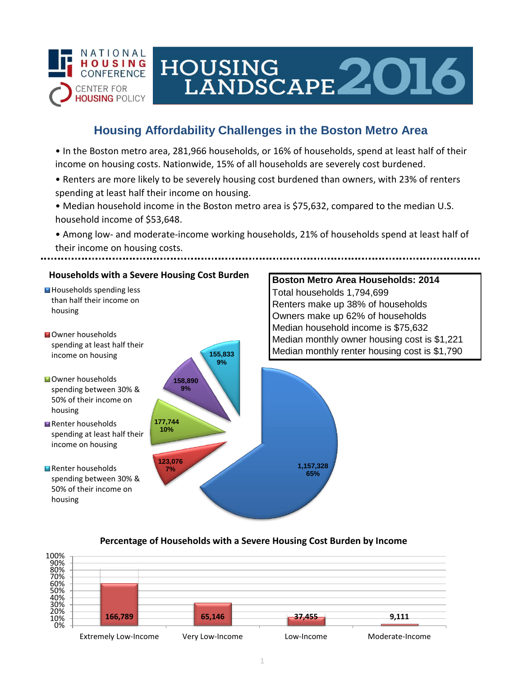

# HOUSING LANDSCAPE 2016

## **Housing Affordability Challenges in the Boston Metro Area**

• In the Boston metro area, 281,966 households, or 16% of households, spend at least half of their income on housing costs. Nationwide, 15% of all households are severely cost burdened.

- Renters are more likely to be severely housing cost burdened than owners, with 23% of renters spending at least half their income on housing.
- Median household income in the Boston metro area is \$75,632, compared to the median U.S. household income of \$53,648.
- Among low- and moderate-income working households, 21% of households spend at least half of their income on housing costs.



### **Percentage of Households with a Severe Housing Cost Burden by Income**